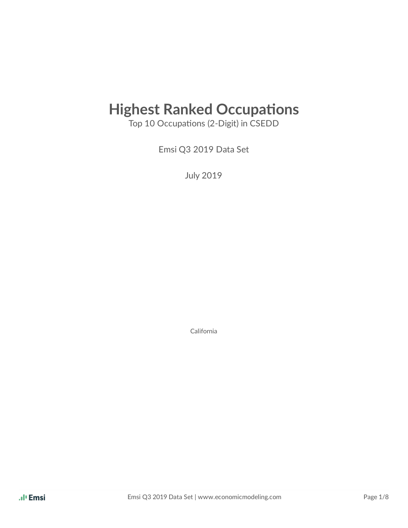# **Highest Ranked Occupations**

Top 10 Occupations (2-Digit) in CSEDD

Emsi Q3 2019 Data Set

July 2019

California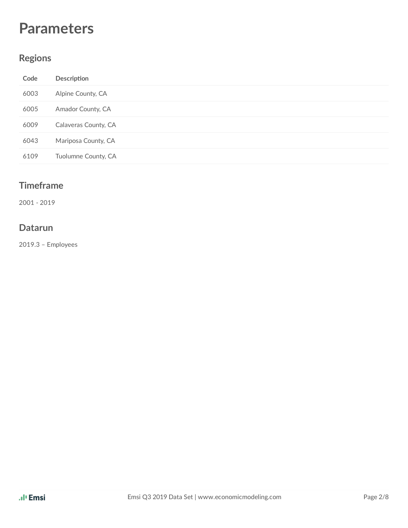## **Parameters**

### **Regions**

| Code | Description          |
|------|----------------------|
| 6003 | Alpine County, CA    |
| 6005 | Amador County, CA    |
| 6009 | Calaveras County, CA |
| 6043 | Mariposa County, CA  |
| 6109 | Tuolumne County, CA  |

#### **Timeframe**

2001 - 2019

#### **Datarun**

2019.3 – Employees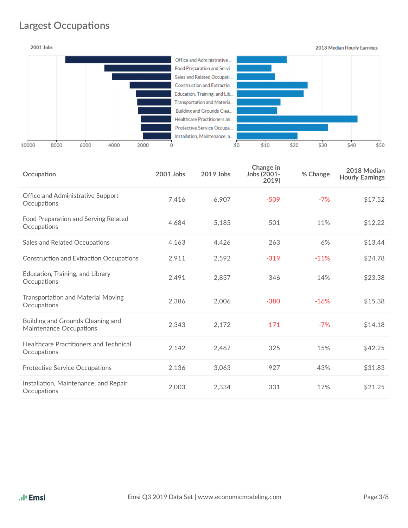## **Largest Occupations**



| Occupation                                                   | 2001 Jobs | 2019 Jobs | Change in<br>Jobs (2001-<br>2019) | % Change | 2018 Median<br><b>Hourly Earnings</b> |
|--------------------------------------------------------------|-----------|-----------|-----------------------------------|----------|---------------------------------------|
| Office and Administrative Support<br>Occupations             | 7,416     | 6,907     | $-509$                            | $-7%$    | \$17.52                               |
| Food Preparation and Serving Related<br>Occupations          | 4.684     | 5,185     | 501                               | 11%      | \$12.22                               |
| Sales and Related Occupations                                | 4,163     | 4,426     | 263                               | 6%       | \$13.44                               |
| <b>Construction and Extraction Occupations</b>               | 2,911     | 2,592     | $-319$                            | $-11%$   | \$24.78                               |
| Education, Training, and Library<br>Occupations              | 2,491     | 2,837     | 346                               | 14%      | \$23.38                               |
| <b>Transportation and Material Moving</b><br>Occupations     | 2,386     | 2,006     | $-380$                            | $-16%$   | \$15.38                               |
| Building and Grounds Cleaning and<br>Maintenance Occupations | 2,343     | 2,172     | $-171$                            | $-7%$    | \$14.18                               |
| Healthcare Practitioners and Technical<br>Occupations        | 2,142     | 2,467     | 325                               | 15%      | \$42.25                               |
| <b>Protective Service Occupations</b>                        | 2,136     | 3,063     | 927                               | 43%      | \$31.83                               |
| Installation, Maintenance, and Repair<br>Occupations         | 2,003     | 2,334     | 331                               | 17%      | \$21.25                               |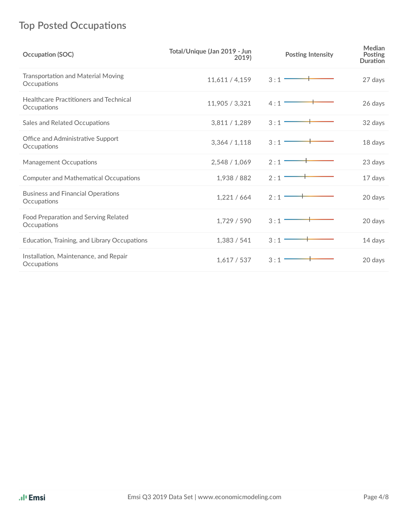## **Top Posted Occupations**

| Occupation (SOC)                                             | Total/Unique (Jan 2019 - Jun<br>2019) | <b>Posting Intensity</b> | Median<br>Posting<br><b>Duration</b> |
|--------------------------------------------------------------|---------------------------------------|--------------------------|--------------------------------------|
| Transportation and Material Moving<br>Occupations            | 11,611/4,159                          | 3:1                      | 27 days                              |
| <b>Healthcare Practitioners and Technical</b><br>Occupations | 11,905 / 3,321                        | 4:1                      | 26 days                              |
| Sales and Related Occupations                                | 3,811/1,289                           | 3:1                      | 32 days                              |
| Office and Administrative Support<br>Occupations             | 3,364 / 1,118                         | 3:1                      | 18 days                              |
| Management Occupations                                       | 2,548 / 1,069                         | 2:1                      | 23 days                              |
| <b>Computer and Mathematical Occupations</b>                 | 1,938 / 882                           | 2:1                      | 17 days                              |
| <b>Business and Financial Operations</b><br>Occupations      | 1,221/664                             | 2:1                      | 20 days                              |
| Food Preparation and Serving Related<br>Occupations          | 1,729 / 590                           | 3:1                      | 20 days                              |
| Education, Training, and Library Occupations                 | 1,383 / 541                           | 3:1                      | 14 days                              |
| Installation, Maintenance, and Repair<br>Occupations         | 1,617/537                             | 3:1                      | 20 days                              |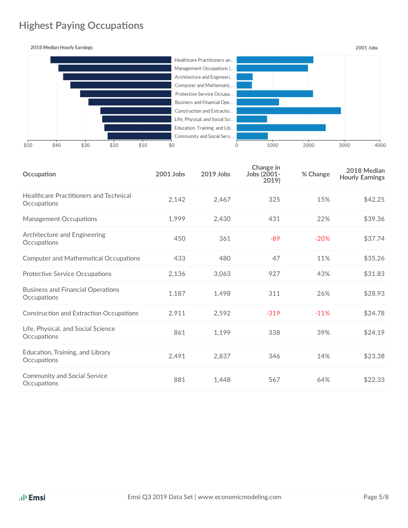## **Highest Paying Occupations**

2018 Median Hourly Earnings

![](_page_4_Figure_2.jpeg)

| Occupation                                              | 2001 Jobs | 2019 Jobs | Change in<br>Jobs (2001-<br>2019) | % Change | 2018 Median<br><b>Hourly Earnings</b> |
|---------------------------------------------------------|-----------|-----------|-----------------------------------|----------|---------------------------------------|
| Healthcare Practitioners and Technical<br>Occupations   | 2,142     | 2,467     | 325                               | 15%      | \$42.25                               |
| Management Occupations                                  | 1,999     | 2,430     | 431                               | 22%      | \$39.36                               |
| Architecture and Engineering<br>Occupations             | 450       | 361       | $-89$                             | $-20%$   | \$37.74                               |
| <b>Computer and Mathematical Occupations</b>            | 433       | 480       | 47                                | 11%      | \$35.26                               |
| <b>Protective Service Occupations</b>                   | 2,136     | 3,063     | 927                               | 43%      | \$31.83                               |
| <b>Business and Financial Operations</b><br>Occupations | 1,187     | 1,498     | 311                               | 26%      | \$28.93                               |
| <b>Construction and Extraction Occupations</b>          | 2,911     | 2,592     | $-319$                            | $-11%$   | \$24.78                               |
| Life, Physical, and Social Science<br>Occupations       | 861       | 1,199     | 338                               | 39%      | \$24.19                               |
| Education, Training, and Library<br>Occupations         | 2,491     | 2,837     | 346                               | 14%      | \$23.38                               |
| <b>Community and Social Service</b><br>Occupations      | 881       | 1,448     | 567                               | 64%      | \$22.33                               |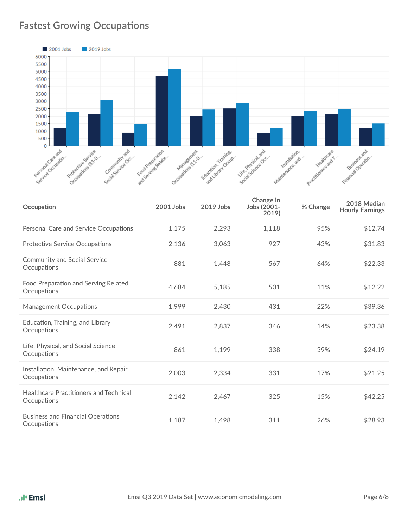## **Fastest Growing Occupations**

![](_page_5_Figure_1.jpeg)

| Occupation                                                   | 2001 Jobs | 2019 Jobs | Change in<br>Jobs (2001-<br>2019) | % Change | 2018 Median<br><b>Hourly Earnings</b> |
|--------------------------------------------------------------|-----------|-----------|-----------------------------------|----------|---------------------------------------|
| Personal Care and Service Occupations                        | 1,175     | 2,293     | 1,118                             | 95%      | \$12.74                               |
| <b>Protective Service Occupations</b>                        | 2,136     | 3,063     | 927                               | 43%      | \$31.83                               |
| <b>Community and Social Service</b><br>Occupations           | 881       | 1,448     | 567                               | 64%      | \$22.33                               |
| Food Preparation and Serving Related<br>Occupations          | 4,684     | 5,185     | 501                               | 11%      | \$12.22                               |
| <b>Management Occupations</b>                                | 1,999     | 2,430     | 431                               | 22%      | \$39.36                               |
| Education, Training, and Library<br>Occupations              | 2,491     | 2,837     | 346                               | 14%      | \$23.38                               |
| Life, Physical, and Social Science<br>Occupations            | 861       | 1,199     | 338                               | 39%      | \$24.19                               |
| Installation, Maintenance, and Repair<br>Occupations         | 2,003     | 2,334     | 331                               | 17%      | \$21.25                               |
| <b>Healthcare Practitioners and Technical</b><br>Occupations | 2,142     | 2,467     | 325                               | 15%      | \$42.25                               |
| <b>Business and Financial Operations</b><br>Occupations      | 1,187     | 1,498     | 311                               | 26%      | \$28.93                               |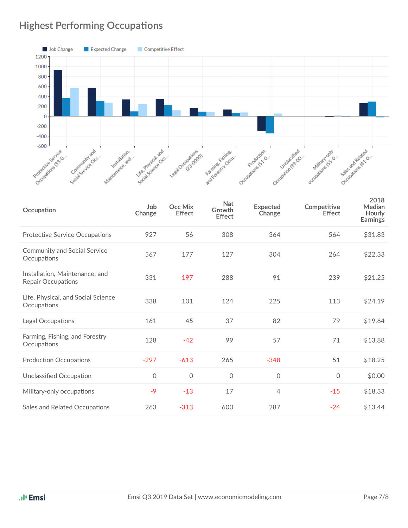## **Highest Performing Occupations**

![](_page_6_Figure_1.jpeg)

| Occupation                                                  | Job<br>Change | Occ Mix<br><b>Effect</b> | <b>Nat</b><br>Growth<br><b>Effect</b> | <b>Expected</b><br>Change | Competitive<br><b>Effect</b> | 2018<br>Median<br>Hourly<br><b>Earnings</b> |
|-------------------------------------------------------------|---------------|--------------------------|---------------------------------------|---------------------------|------------------------------|---------------------------------------------|
| <b>Protective Service Occupations</b>                       | 927           | 56                       | 308                                   | 364                       | 564                          | \$31.83                                     |
| <b>Community and Social Service</b><br>Occupations          | 567           | 177                      | 127                                   | 304                       | 264                          | \$22.33                                     |
| Installation, Maintenance, and<br><b>Repair Occupations</b> | 331           | $-197$                   | 288                                   | 91                        | 239                          | \$21.25                                     |
| Life, Physical, and Social Science<br>Occupations           | 338           | 101                      | 124                                   | 225                       | 113                          | \$24.19                                     |
| Legal Occupations                                           | 161           | 45                       | 37                                    | 82                        | 79                           | \$19.64                                     |
| Farming, Fishing, and Forestry<br>Occupations               | 128           | $-42$                    | 99                                    | 57                        | 71                           | \$13.88                                     |
| <b>Production Occupations</b>                               | $-297$        | $-613$                   | 265                                   | $-348$                    | 51                           | \$18.25                                     |
| Unclassified Occupation                                     | $\mathbf 0$   | 0                        | $\Omega$                              | $\mathbf 0$               | 0                            | \$0.00                                      |
| Military-only occupations                                   | $-9$          | $-13$                    | 17                                    | 4                         | $-15$                        | \$18.33                                     |
| Sales and Related Occupations                               | 263           | $-313$                   | 600                                   | 287                       | $-24$                        | \$13.44                                     |